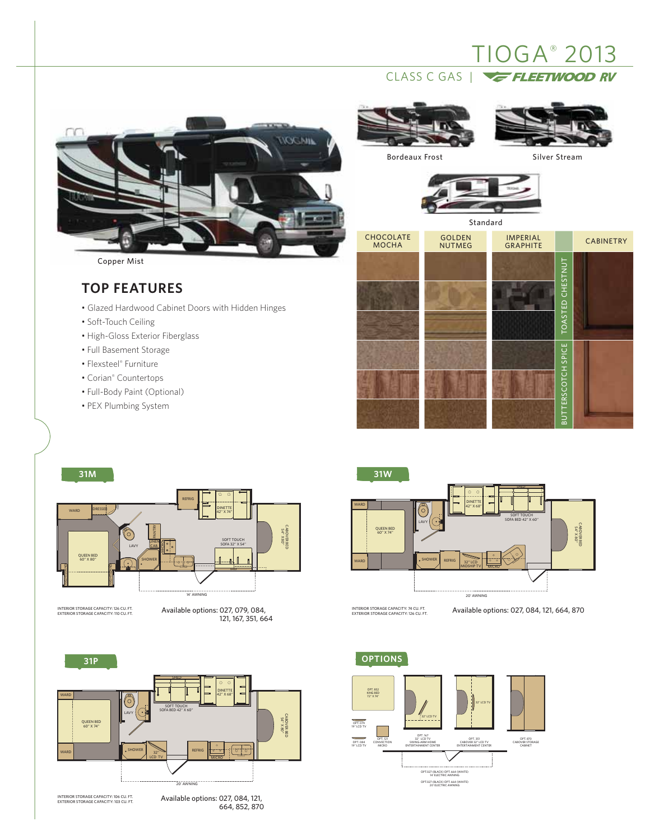# TIOGA® 2013 CLASS C GAS | **CEFLEETWOOD RV**



Copper Mist

# **TOP FEATURES**

- Glazed Hardwood Cabinet Doors with Hidden Hinges
- Soft-Touch Ceiling
- High-Gloss Exterior Fiberglass
- Full Basement Storage
- Flexsteel® Furniture
- Corian® Countertops
- Full-Body Paint (Optional)
- PEX Plumbing System



Bordeaux Frost Silver Stream



INTERIOR STORAGE CAPACITY: 126 CU. FT. EXTERIOR STORAGE CAPACITY: 110 CU. FT.

Available options: 027, 079, 084, 121, 167, 351, 664



INTERIOR STORAGE CAPACITY: 74 CU. FT. EXTERIOR STORAGE CAPACITY: 126 CU. FT.

Available options: 027, 084, 121, 664, 870

**31P OPTIONS** SHELF DINETTE WARD 42'' X 68'' SOFT TOUCH SOFA BED 42'' X 60'' LAVY  $\mathsf{CABORRERED}$  BED WERED CABOVER BED 54'' X 80'' QUEEN BED 60'' X 74'' ['တ†ုတ' SHOWER  $32$ " REFRIG WARD LCD TV MICRO 20' AWNING



Available options: 027, 084, 121, 664, 852, 870